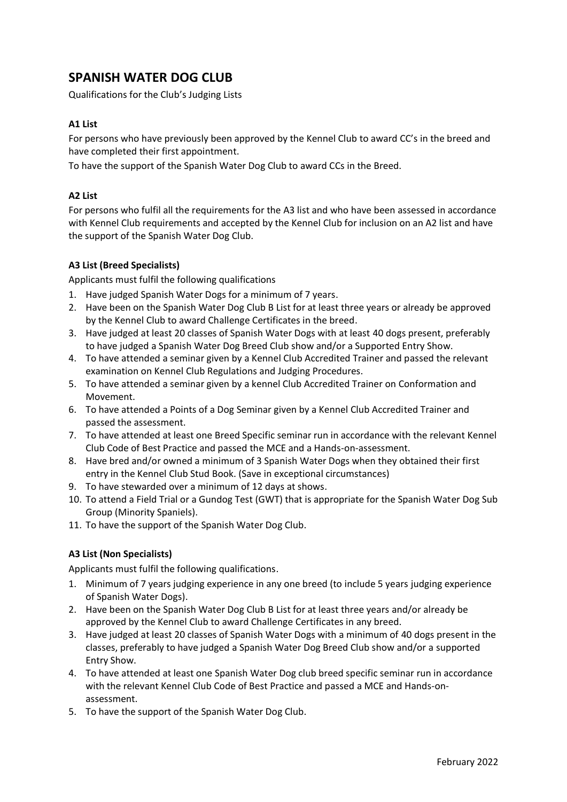# **SPANISH WATER DOG CLUB**

Qualifications for the Club's Judging Lists

## **A1 List**

For persons who have previously been approved by the Kennel Club to award CC's in the breed and have completed their first appointment.

To have the support of the Spanish Water Dog Club to award CCs in the Breed.

## **A2 List**

For persons who fulfil all the requirements for the A3 list and who have been assessed in accordance with Kennel Club requirements and accepted by the Kennel Club for inclusion on an A2 list and have the support of the Spanish Water Dog Club.

## **A3 List (Breed Specialists)**

Applicants must fulfil the following qualifications

- 1. Have judged Spanish Water Dogs for a minimum of 7 years.
- 2. Have been on the Spanish Water Dog Club B List for at least three years or already be approved by the Kennel Club to award Challenge Certificates in the breed.
- 3. Have judged at least 20 classes of Spanish Water Dogs with at least 40 dogs present, preferably to have judged a Spanish Water Dog Breed Club show and/or a Supported Entry Show.
- 4. To have attended a seminar given by a Kennel Club Accredited Trainer and passed the relevant examination on Kennel Club Regulations and Judging Procedures.
- 5. To have attended a seminar given by a kennel Club Accredited Trainer on Conformation and Movement.
- 6. To have attended a Points of a Dog Seminar given by a Kennel Club Accredited Trainer and passed the assessment.
- 7. To have attended at least one Breed Specific seminar run in accordance with the relevant Kennel Club Code of Best Practice and passed the MCE and a Hands-on-assessment.
- 8. Have bred and/or owned a minimum of 3 Spanish Water Dogs when they obtained their first entry in the Kennel Club Stud Book. (Save in exceptional circumstances)
- 9. To have stewarded over a minimum of 12 days at shows.
- 10. To attend a Field Trial or a Gundog Test (GWT) that is appropriate for the Spanish Water Dog Sub Group (Minority Spaniels).
- 11. To have the support of the Spanish Water Dog Club.

## **A3 List (Non Specialists)**

Applicants must fulfil the following qualifications.

- 1. Minimum of 7 years judging experience in any one breed (to include 5 years judging experience of Spanish Water Dogs).
- 2. Have been on the Spanish Water Dog Club B List for at least three years and/or already be approved by the Kennel Club to award Challenge Certificates in any breed.
- 3. Have judged at least 20 classes of Spanish Water Dogs with a minimum of 40 dogs present in the classes, preferably to have judged a Spanish Water Dog Breed Club show and/or a supported Entry Show.
- 4. To have attended at least one Spanish Water Dog club breed specific seminar run in accordance with the relevant Kennel Club Code of Best Practice and passed a MCE and Hands-onassessment.
- 5. To have the support of the Spanish Water Dog Club.